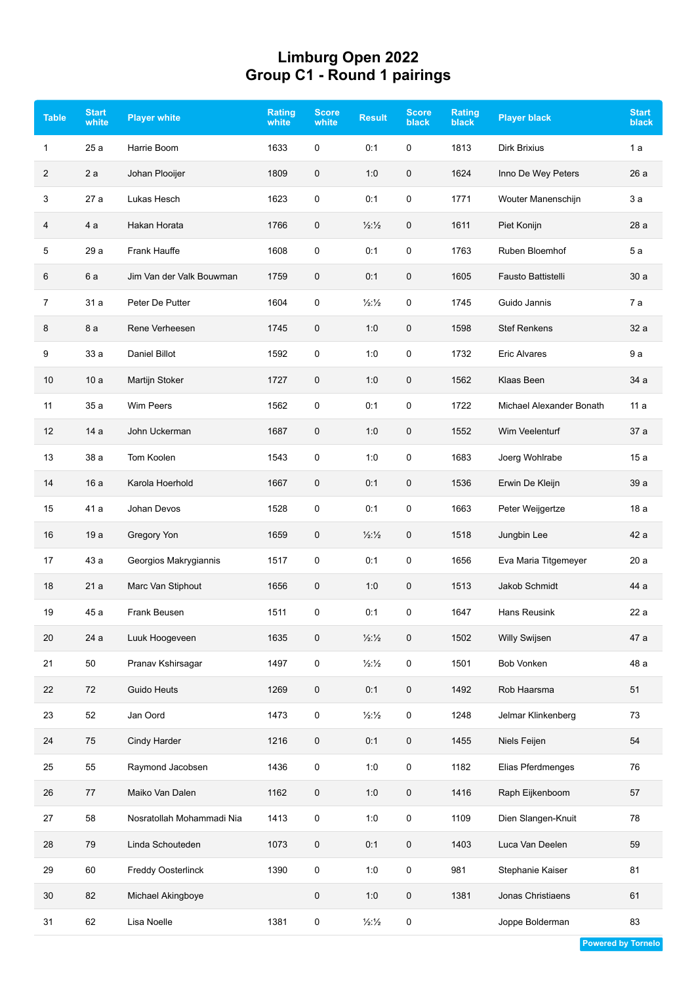## **Limburg Open 2022 Group C1 - Round 1 pairings**

| <b>Table</b> | <b>Start</b><br>white | <b>Player white</b>       | <b>Rating</b><br>white | <b>Score</b><br>white | <b>Result</b>            | <b>Score</b><br><b>black</b> | <b>Rating</b><br><b>black</b> | <b>Player black</b>      | <b>Start</b><br>black |
|--------------|-----------------------|---------------------------|------------------------|-----------------------|--------------------------|------------------------------|-------------------------------|--------------------------|-----------------------|
| 1            | 25 a                  | Harrie Boom               | 1633                   | 0                     | 0:1                      | 0                            | 1813                          | <b>Dirk Brixius</b>      | 1a                    |
| 2            | 2a                    | Johan Plooijer            | 1809                   | $\mathbf 0$           | 1:0                      | 0                            | 1624                          | Inno De Wey Peters       | 26a                   |
| 3            | 27 a                  | Lukas Hesch               | 1623                   | $\mathbf 0$           | 0:1                      | 0                            | 1771                          | Wouter Manenschijn       | 3a                    |
| 4            | 4 a                   | Hakan Horata              | 1766                   | 0                     | $\frac{1}{2}\frac{1}{2}$ | 0                            | 1611                          | Piet Konijn              | 28 a                  |
| 5            | 29 a                  | Frank Hauffe              | 1608                   | 0                     | 0:1                      | 0                            | 1763                          | Ruben Bloemhof           | 5a                    |
| 6            | 6 a                   | Jim Van der Valk Bouwman  | 1759                   | $\mathbf 0$           | 0:1                      | 0                            | 1605                          | Fausto Battistelli       | 30a                   |
| 7            | 31 a                  | Peter De Putter           | 1604                   | 0                     | $\frac{1}{2}\frac{1}{2}$ | 0                            | 1745                          | Guido Jannis             | 7a                    |
| 8            | 8 a                   | Rene Verheesen            | 1745                   | $\mathbf 0$           | 1:0                      | $\pmb{0}$                    | 1598                          | <b>Stef Renkens</b>      | 32 a                  |
| 9            | 33 a                  | <b>Daniel Billot</b>      | 1592                   | 0                     | 1:0                      | 0                            | 1732                          | <b>Eric Alvares</b>      | 9 a                   |
| 10           | 10a                   | Martijn Stoker            | 1727                   | $\mathbf 0$           | 1:0                      | 0                            | 1562                          | Klaas Been               | 34 a                  |
| 11           | 35 a                  | <b>Wim Peers</b>          | 1562                   | 0                     | 0:1                      | 0                            | 1722                          | Michael Alexander Bonath | 11 a                  |
| 12           | 14 a                  | John Uckerman             | 1687                   | 0                     | 1:0                      | 0                            | 1552                          | Wim Veelenturf           | 37 a                  |
| 13           | 38 a                  | Tom Koolen                | 1543                   | 0                     | 1:0                      | 0                            | 1683                          | Joerg Wohlrabe           | 15a                   |
| 14           | 16a                   | Karola Hoerhold           | 1667                   | 0                     | 0:1                      | 0                            | 1536                          | Erwin De Kleijn          | 39 a                  |
| 15           | 41 a                  | Johan Devos               | 1528                   | 0                     | 0:1                      | 0                            | 1663                          | Peter Weijgertze         | 18 a                  |
| 16           | 19a                   | Gregory Yon               | 1659                   | 0                     | $\frac{1}{2}\frac{1}{2}$ | 0                            | 1518                          | Jungbin Lee              | 42 a                  |
| 17           | 43 a                  | Georgios Makrygiannis     | 1517                   | $\mathbf 0$           | 0:1                      | 0                            | 1656                          | Eva Maria Titgemeyer     | 20a                   |
| 18           | 21 a                  | Marc Van Stiphout         | 1656                   | 0                     | 1:0                      | 0                            | 1513                          | Jakob Schmidt            | 44 a                  |
| 19           | 45 a                  | Frank Beusen              | 1511                   | 0                     | 0:1                      | 0                            | 1647                          | Hans Reusink             | 22 a                  |
| 20           | 24 a                  | Luuk Hoogeveen            | 1635                   | $\mathbf 0$           | $\frac{1}{2}\frac{1}{2}$ | 0                            | 1502                          | Willy Swijsen            | 47 a                  |
| 21           | 50                    | Pranav Kshirsagar         | 1497                   | $\mathsf 0$           | $\frac{1}{2}\frac{1}{2}$ | 0                            | 1501                          | Bob Vonken               | 48 a                  |
| 22           | 72                    | Guido Heuts               | 1269                   | $\mathbf 0$           | 0:1                      | 0                            | 1492                          | Rob Haarsma              | 51                    |
| 23           | 52                    | Jan Oord                  | 1473                   | $\mathsf 0$           | $\frac{1}{2}\frac{1}{2}$ | 0                            | 1248                          | Jelmar Klinkenberg       | 73                    |
| 24           | 75                    | Cindy Harder              | 1216                   | 0                     | 0:1                      | 0                            | 1455                          | Niels Feijen             | 54                    |
| 25           | 55                    | Raymond Jacobsen          | 1436                   | $\mathsf 0$           | 1:0                      | 0                            | 1182                          | Elias Pferdmenges        | 76                    |
| 26           | 77                    | Maiko Van Dalen           | 1162                   | $\mathbf 0$           | 1:0                      | $\pmb{0}$                    | 1416                          | Raph Eijkenboom          | 57                    |
| 27           | 58                    | Nosratollah Mohammadi Nia | 1413                   | $\mathsf 0$           | 1:0                      | 0                            | 1109                          | Dien Slangen-Knuit       | 78                    |
| 28           | 79                    | Linda Schouteden          | 1073                   | $\mathbf 0$           | 0:1                      | $\pmb{0}$                    | 1403                          | Luca Van Deelen          | 59                    |
| 29           | 60                    | Freddy Oosterlinck        | 1390                   | 0                     | 1:0                      | 0                            | 981                           | Stephanie Kaiser         | 81                    |
| 30           | 82                    | Michael Akingboye         |                        | $\mathbf 0$           | 1:0                      | 0                            | 1381                          | Jonas Christiaens        | 61                    |
| 31           | 62                    | Lisa Noelle               | 1381                   | $\pmb{0}$             | $\frac{1}{2}\frac{1}{2}$ | 0                            |                               | Joppe Bolderman          | 83                    |